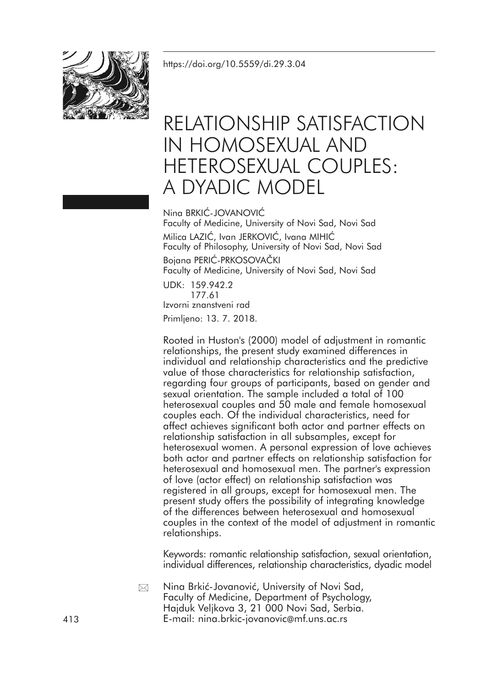<https://doi.org/10.5559/di.29.3.04>



# RELATIONSHIP SATISFACTION IN HOMOSEXUAL AND HETEROSEXUAL COUPLES: A DYADIC MODEL

Nina BRKIĆ-JOVANOVIĆ Faculty of Medicine, University of Novi Sad, Novi Sad Milica LAZIĆ, Ivan JERKOVIĆ, Ivana MIHIĆ Faculty of Philosophy, University of Novi Sad, Novi Sad Bojana PERIĆ-PRKOSOVAČKI Faculty of Medicine, University of Novi Sad, Novi Sad UDK: 159.942.2 177.61 Izvorni znanstveni rad

Primljeno: 13. 7. 2018.

Rooted in Huston's (2000) model of adjustment in romantic relationships, the present study examined differences in individual and relationship characteristics and the predictive value of those characteristics for relationship satisfaction, regarding four groups of participants, based on gender and sexual orientation. The sample included a total of 100 heterosexual couples and 50 male and female homosexual couples each. Of the individual characteristics, need for affect achieves significant both actor and partner effects on relationship satisfaction in all subsamples, except for heterosexual women. A personal expression of love achieves both actor and partner effects on relationship satisfaction for heterosexual and homosexual men. The partner's expression of love (actor effect) on relationship satisfaction was registered in all groups, except for homosexual men. The present study offers the possibility of integrating knowledge of the differences between heterosexual and homosexual couples in the context of the model of adjustment in romantic relationships.

Keywords: romantic relationship satisfaction, sexual orientation, individual differences, relationship characteristics, dyadic model

Nina Brkić-Jovanović, University of Novi Sad, Faculty of Medicine, Department of Psychology, Hajduk Veljkova 3, 21 000 Novi Sad, Serbia. 413 E-mail: nina.brkic-jovanovic@mf.uns.ac.rs  $\boxtimes$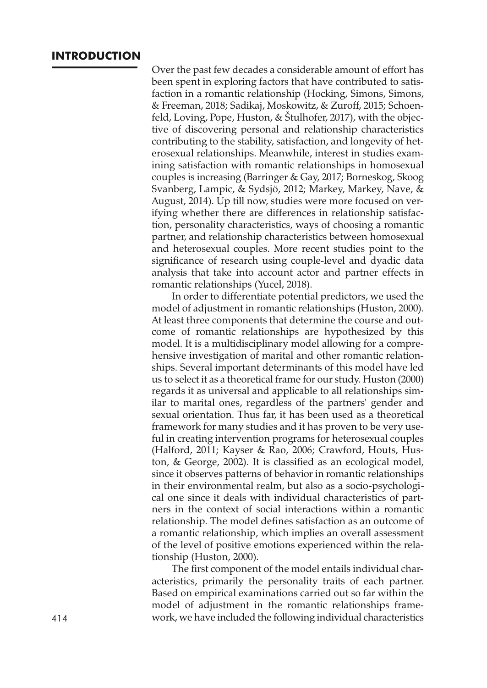# **INTRODUCTION**

Over the past few decades a considerable amount of effort has been spent in exploring factors that have contributed to satisfaction in a romantic relationship (Hocking, Simons, Simons, & Freeman, 2018; Sadikaj, Moskowitz, & Zuroff, 2015; Schoenfeld, Loving, Pope, Huston, & Štulhofer, 2017), with the objective of discovering personal and relationship characteristics contributing to the stability, satisfaction, and longevity of heterosexual relationships. Meanwhile, interest in studies examining satisfaction with romantic relationships in homosexual couples is increasing (Barringer & Gay, 2017; Borneskog, Skoog Svanberg, Lampic, & Sydsjö, 2012; Markey, Markey, Nave, & August, 2014). Up till now, studies were more focused on verifying whether there are differences in relationship satisfaction, personality characteristics, ways of choosing a romantic partner, and relationship characteristics between homosexual and heterosexual couples. More recent studies point to the significance of research using couple-level and dyadic data analysis that take into account actor and partner effects in romantic relationships (Yucel, 2018).

In order to differentiate potential predictors, we used the model of adjustment in romantic relationships (Huston, 2000). At least three components that determine the course and outcome of romantic relationships are hypothesized by this model. It is a multidisciplinary model allowing for a comprehensive investigation of marital and other romantic relationships. Several important determinants of this model have led us to select it as a theoretical frame for our study. Huston (2000) regards it as universal and applicable to all relationships similar to marital ones, regardless of the partners' gender and sexual orientation. Thus far, it has been used as a theoretical framework for many studies and it has proven to be very useful in creating intervention programs for heterosexual couples (Halford, 2011; Kayser & Rao, 2006; Crawford, Houts, Huston, & George, 2002). It is classified as an ecological model, since it observes patterns of behavior in romantic relationships in their environmental realm, but also as a socio-psychological one since it deals with individual characteristics of partners in the context of social interactions within a romantic relationship. The model defines satisfaction as an outcome of a romantic relationship, which implies an overall assessment of the level of positive emotions experienced within the relationship (Huston, 2000).

The first component of the model entails individual characteristics, primarily the personality traits of each partner. Based on empirical examinations carried out so far within the model of adjustment in the romantic relationships frame-414 work, we have included the following individual characteristics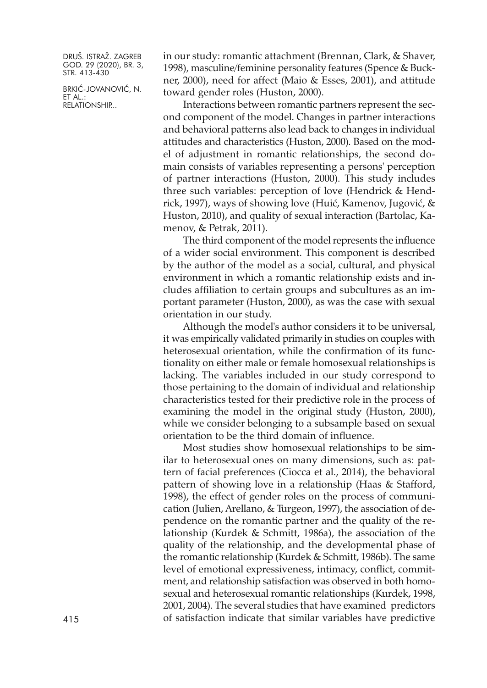BRKIĆ-JOVANOVIĆ, N. ET AL.: RELATIONSHIP...

in our study: romantic attachment (Brennan, Clark, & Shaver, 1998), masculine/feminine personality features (Spence & Buckner, 2000), need for affect (Maio & Esses, 2001), and attitude toward gender roles (Huston, 2000).

Interactions between romantic partners represent the second component of the model. Changes in partner interactions and behavioral patterns also lead back to changes in individual attitudes and characteristics (Huston, 2000). Based on the model of adjustment in romantic relationships, the second domain consists of variables representing a persons' perception of partner interactions (Huston, 2000). This study includes three such variables: perception of love (Hendrick & Hendrick, 1997), ways of showing love (Huić, Kamenov, Jugović, & Huston, 2010), and quality of sexual interaction (Bartolac, Kamenov, & Petrak, 2011).

The third component of the model represents the influence of a wider social environment. This component is described by the author of the model as a social, cultural, and physical environment in which a romantic relationship exists and includes affiliation to certain groups and subcultures as an important parameter (Huston, 2000), as was the case with sexual orientation in our study.

Although the model's author considers it to be universal, it was empirically validated primarily in studies on couples with heterosexual orientation, while the confirmation of its functionality on either male or female homosexual relationships is lacking. The variables included in our study correspond to those pertaining to the domain of individual and relationship characteristics tested for their predictive role in the process of examining the model in the original study (Huston, 2000), while we consider belonging to a subsample based on sexual orientation to be the third domain of influence.

Most studies show homosexual relationships to be similar to heterosexual ones on many dimensions, such as: pattern of facial preferences (Ciocca et al., 2014), the behavioral pattern of showing love in a relationship (Haas & Stafford, 1998), the effect of gender roles on the process of communication (Julien, Arellano, & Turgeon, 1997), the association of dependence on the romantic partner and the quality of the relationship (Kurdek & Schmitt, 1986a), the association of the quality of the relationship, and the developmental phase of the romantic relationship (Kurdek & Schmitt, 1986b). The same level of emotional expressiveness, intimacy, conflict, commitment, and relationship satisfaction was observed in both homosexual and heterosexual romantic relationships (Kurdek, 1998, 2001, 2004). The several studies that have examined predictors 415 of satisfaction indicate that similar variables have predictive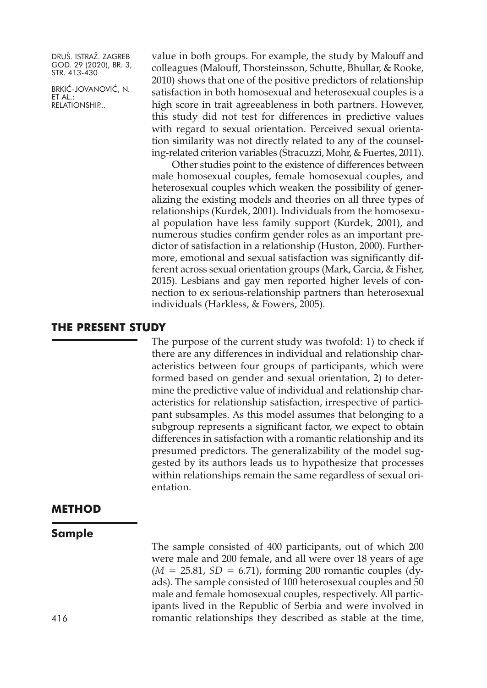BRKIĆ-JOVANOVIĆ, N. ET AL.: RELATIONSHIP...

value in both groups. For example, the study by Malouff and colleagues (Malouff, Thorsteinsson, Schutte, Bhullar, & Rooke, 2010) shows that one of the positive predictors of relationship satisfaction in both homosexual and heterosexual couples is a high score in trait agreeableness in both partners. However, this study did not test for differences in predictive values with regard to sexual orientation. Perceived sexual orientation similarity was not directly related to any of the counseling-related criterion variables (Stracuzzi, Mohr, & Fuertes, 2011).

Other studies point to the existence of differences between male homosexual couples, female homosexual couples, and heterosexual couples which weaken the possibility of generalizing the existing models and theories on all three types of relationships (Kurdek, 2001). Individuals from the homosexual population have less family support (Kurdek, 2001), and numerous studies confirm gender roles as an important predictor of satisfaction in a relationship (Huston, 2000). Furthermore, emotional and sexual satisfaction was significantly different across sexual orientation groups (Mark, Garcia, & Fisher, 2015). Lesbians and gay men reported higher levels of connection to ex serious-relationship partners than heterosexual individuals (Harkless, & Fowers, 2005).

# **THE PRESENT STUDY**

The purpose of the current study was twofold: 1) to check if there are any differences in individual and relationship characteristics between four groups of participants, which were formed based on gender and sexual orientation, 2) to determine the predictive value of individual and relationship characteristics for relationship satisfaction, irrespective of participant subsamples. As this model assumes that belonging to a subgroup represents a significant factor, we expect to obtain differences in satisfaction with a romantic relationship and its presumed predictors. The generalizability of the model suggested by its authors leads us to hypothesize that processes within relationships remain the same regardless of sexual orientation.

# **METHOD**

#### **Sample**

The sample consisted of 400 participants, out of which 200 were male and 200 female, and all were over 18 years of age  $(M = 25.81, SD = 6.71)$ , forming 200 romantic couples (dyads). The sample consisted of 100 heterosexual couples and 50 male and female homosexual couples, respectively. All participants lived in the Republic of Serbia and were involved in 416 romantic relationships they described as stable at the time,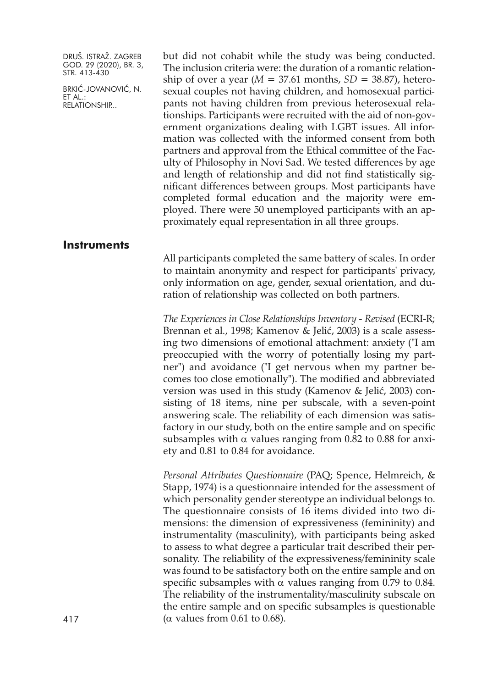BRKIĆ-JOVANOVIĆ, N. ET AL.: RELATIONSHIP...

but did not cohabit while the study was being conducted. The inclusion criteria were: the duration of a romantic relationship of over a year  $(M = 37.61$  months,  $SD = 38.87$ ), heterosexual couples not having children, and homosexual participants not having children from previous heterosexual relationships. Participants were recruited with the aid of non-government organizations dealing with LGBT issues. All information was collected with the informed consent from both partners and approval from the Ethical committee of the Faculty of Philosophy in Novi Sad. We tested differences by age and length of relationship and did not find statistically significant differences between groups. Most participants have completed formal education and the majority were employed. There were 50 unemployed participants with an approximately equal representation in all three groups.

# **Instruments**

All participants completed the same battery of scales. In order to maintain anonymity and respect for participants' privacy, only information on age, gender, sexual orientation, and duration of relationship was collected on both partners.

*The Experiences in Close Relationships Inventory - Revised* (ECRI-R; Brennan et al., 1998; Kamenov & Jelić, 2003) is a scale assessing two dimensions of emotional attachment: anxiety ("I am preoccupied with the worry of potentially losing my partner") and avoidance ("I get nervous when my partner becomes too close emotionally"). The modified and abbreviated version was used in this study (Kamenov & Jelić, 2003) consisting of 18 items, nine per subscale, with a seven-point answering scale. The reliability of each dimension was satisfactory in our study, both on the entire sample and on specific subsamples with  $\alpha$  values ranging from 0.82 to 0.88 for anxiety and 0.81 to 0.84 for avoidance.

*Personal Attributes Questionnaire* (PAQ; Spence, Helmreich, & Stapp, 1974) is a questionnaire intended for the assessment of which personality gender stereotype an individual belongs to. The questionnaire consists of 16 items divided into two dimensions: the dimension of expressiveness (femininity) and instrumentality (masculinity), with participants being asked to assess to what degree a particular trait described their personality. The reliability of the expressiveness/femininity scale was found to be satisfactory both on the entire sample and on specific subsamples with  $\alpha$  values ranging from 0.79 to 0.84. The reliability of the instrumentality/masculinity subscale on the entire sample and on specific subsamples is questionable 417 ( $\alpha$  values from 0.61 to 0.68).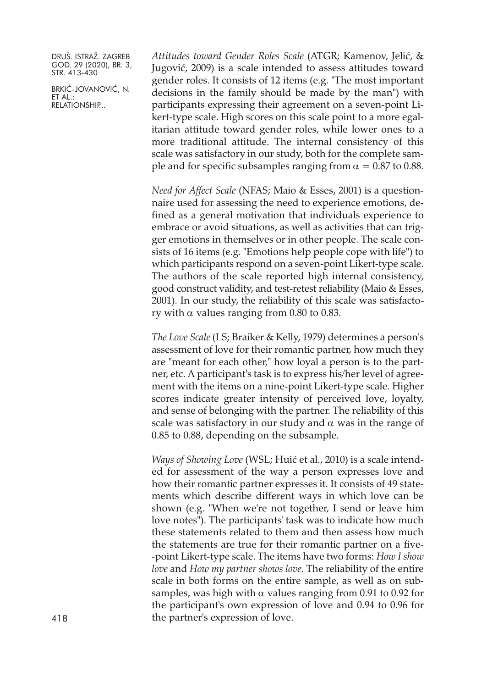BRKIĆ-JOVANOVIĆ, N. ET AL.: RELATIONSHIP...

*Attitudes toward Gender Roles Scale* (ATGR; Kamenov, Jelić, & Jugović, 2009) is a scale intended to assess attitudes toward gender roles. It consists of 12 items (e.g. "The most important decisions in the family should be made by the man") with participants expressing their agreement on a seven-point Likert-type scale. High scores on this scale point to a more egalitarian attitude toward gender roles, while lower ones to a more traditional attitude. The internal consistency of this scale was satisfactory in our study, both for the complete sample and for specific subsamples ranging from  $\alpha = 0.87$  to 0.88.

*Need for Affect Scale* (NFAS; Maio & Esses, 2001) is a questionnaire used for assessing the need to experience emotions, defined as a general motivation that individuals experience to embrace or avoid situations, as well as activities that can trigger emotions in themselves or in other people. The scale consists of 16 items (e.g. "Emotions help people cope with life") to which participants respond on a seven-point Likert-type scale. The authors of the scale reported high internal consistency, good construct validity, and test-retest reliability (Maio & Esses, 2001). In our study, the reliability of this scale was satisfactory with  $α$  values ranging from  $0.80$  to  $0.83$ .

*The Love Scale* (LS; Braiker & Kelly, 1979) determines a person's assessment of love for their romantic partner, how much they are "meant for each other," how loyal a person is to the partner, etc. A participant's task is to express his/her level of agreement with the items on a nine-point Likert-type scale. Higher scores indicate greater intensity of perceived love, loyalty, and sense of belonging with the partner. The reliability of this scale was satisfactory in our study and  $\alpha$  was in the range of 0.85 to 0.88, depending on the subsample.

*Ways of Showing Love* (WSL; Huić et al., 2010) is a scale intended for assessment of the way a person expresses love and how their romantic partner expresses it. It consists of 49 statements which describe different ways in which love can be shown (e.g. "When we're not together, I send or leave him love notes"). The participants' task was to indicate how much these statements related to them and then assess how much the statements are true for their romantic partner on a five- -point Likert-type scale. The items have two forms: *How I show love* and *How my partner shows love*. The reliability of the entire scale in both forms on the entire sample, as well as on subsamples, was high with  $\alpha$  values ranging from 0.91 to 0.92 for the participant's own expression of love and 0.94 to 0.96 for 418 the partner's expression of love.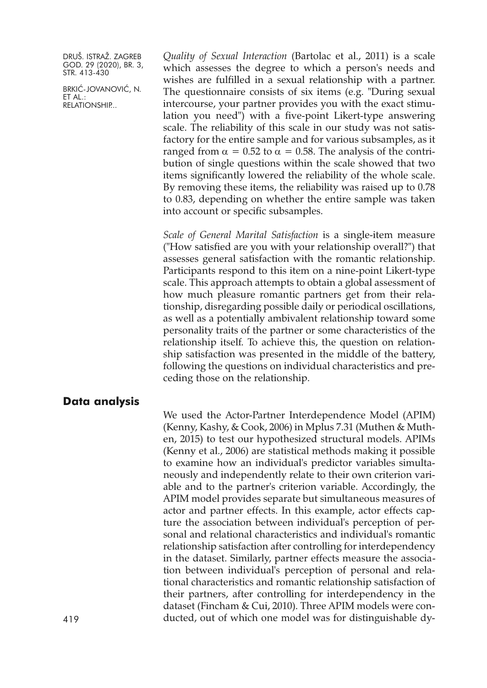BRKIĆ-JOVANOVIĆ, N. ET AL.: RELATIONSHIP...

*Quality of Sexual Interaction* (Bartolac et al., 2011) is a scale which assesses the degree to which a person's needs and wishes are fulfilled in a sexual relationship with a partner. The questionnaire consists of six items (e.g. "During sexual intercourse, your partner provides you with the exact stimulation you need") with a five-point Likert-type answering scale. The reliability of this scale in our study was not satisfactory for the entire sample and for various subsamples, as it ranged from  $\alpha = 0.52$  to  $\alpha = 0.58$ . The analysis of the contribution of single questions within the scale showed that two items significantly lowered the reliability of the whole scale. By removing these items, the reliability was raised up to 0.78 to 0.83, depending on whether the entire sample was taken into account or specific subsamples.

*Scale of General Marital Satisfaction* is a single-item measure ("How satisfied are you with your relationship overall?") that assesses general satisfaction with the romantic relationship. Participants respond to this item on a nine-point Likert-type scale. This approach attempts to obtain a global assessment of how much pleasure romantic partners get from their relationship, disregarding possible daily or periodical oscillations, as well as a potentially ambivalent relationship toward some personality traits of the partner or some characteristics of the relationship itself. To achieve this, the question on relationship satisfaction was presented in the middle of the battery, following the questions on individual characteristics and preceding those on the relationship.

#### **Data analysis**

We used the Actor-Partner Interdependence Model (APIM) (Kenny, Kashy, & Cook, 2006) in Mplus 7.31 (Muthen & Muthen, 2015) to test our hypothesized structural models. APIMs (Kenny et al., 2006) are statistical methods making it possible to examine how an individual's predictor variables simultaneously and independently relate to their own criterion variable and to the partner's criterion variable. Accordingly, the APIM model provides separate but simultaneous measures of actor and partner effects. In this example, actor effects capture the association between individual's perception of personal and relational characteristics and individual's romantic relationship satisfaction after controlling for interdependency in the dataset. Similarly, partner effects measure the association between individual's perception of personal and relational characteristics and romantic relationship satisfaction of their partners, after controlling for interdependency in the dataset (Fincham & Cui, 2010). Three APIM models were con-419 ducted, out of which one model was for distinguishable dy-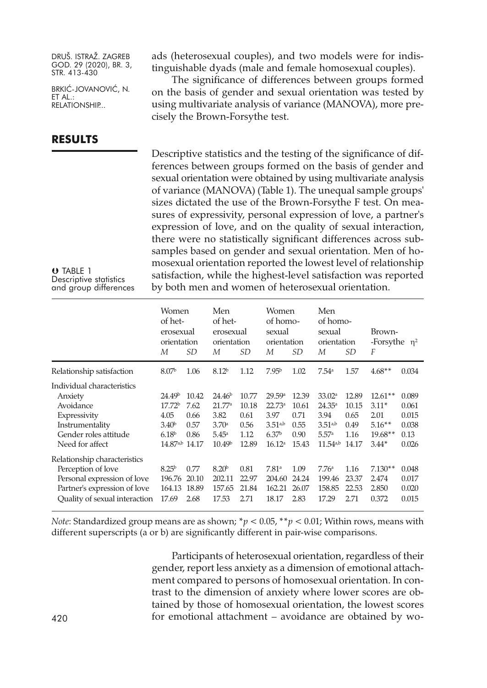BRKIĆ-JOVANOVIĆ, N. ET AL.: RELATIONSHIP...

# **RESULTS**

ads (heterosexual couples), and two models were for indistinguishable dyads (male and female homosexual couples).

The significance of differences between groups formed on the basis of gender and sexual orientation was tested by using multivariate analysis of variance (MANOVA), more precisely the Brown-Forsythe test.

Descriptive statistics and the testing of the significance of differences between groups formed on the basis of gender and sexual orientation were obtained by using multivariate analysis of variance (MANOVA) (Table 1). The unequal sample groups' sizes dictated the use of the Brown-Forsythe F test. On measures of expressivity, personal expression of love, a partner's expression of love, and on the quality of sexual interaction, there were no statistically significant differences across subsamples based on gender and sexual orientation. Men of homosexual orientation reported the lowest level of relationship satisfaction, while the highest-level satisfaction was reported by both men and women of heterosexual orientation.

| $O$ TABLE 1            |  |
|------------------------|--|
| Descriptive statistics |  |
| and group differences  |  |

|                                                                                                                                                    | Women<br>of het-<br>erosexual<br>orientation<br>М                                               | <i>SD</i>                                      | Men<br>of het-<br>erosexual<br>orientation<br>М                              | <i>SD</i>                                       | Women<br>of homo-<br>sexual<br>orientation<br>М                                  | SD                                              | Men<br>of homo-<br>sexual<br>orientation<br>М                                           | <i>SD</i>                                       | Brown-<br>-Forsythe $\eta^2$<br>F                                |                                                   |
|----------------------------------------------------------------------------------------------------------------------------------------------------|-------------------------------------------------------------------------------------------------|------------------------------------------------|------------------------------------------------------------------------------|-------------------------------------------------|----------------------------------------------------------------------------------|-------------------------------------------------|-----------------------------------------------------------------------------------------|-------------------------------------------------|------------------------------------------------------------------|---------------------------------------------------|
| Relationship satisfaction                                                                                                                          | 8.07 <sup>b</sup>                                                                               | 1.06                                           | 8.12 <sup>b</sup>                                                            | 1.12                                            | 7.95 <sup>b</sup>                                                                | 1.02                                            | 7.54 <sup>a</sup>                                                                       | 1.57                                            | $4.68**$                                                         | 0.034                                             |
| Individual characteristics<br>Anxiety<br>Avoidance<br>Expressivity<br>Instrumentality<br>Gender roles attitude<br>Need for affect                  | 24.49b<br>17.72 <sup>b</sup><br>4.05<br>3.40 <sup>b</sup><br>6.18 <sup>b</sup><br>$14.87^{a,b}$ | 10.42<br>7.62<br>0.66<br>0.57<br>0.86<br>14.17 | 24.46 <sup>b</sup><br>21.77a<br>3.82<br>3.70a<br>5.45a<br>10.49 <sup>b</sup> | 10.77<br>10.18<br>0.61<br>0.56<br>1.12<br>12.89 | 29.59a<br>22.73a<br>3.97<br>$3.51^{a,b}$<br>6.37 <sup>b</sup><br>$16.12^{\circ}$ | 12.39<br>10.61<br>0.71<br>0.55<br>0.90<br>15.43 | 33.02 <sup>a</sup><br>$24.35^{\circ}$<br>3.94<br>$3.51^{a,b}$<br>5.57a<br>$11.54^{a,b}$ | 12.89<br>10.15<br>0.65<br>0.49<br>1.16<br>14.17 | $12.61**$<br>$3.11*$<br>2.01<br>$5.16**$<br>$19.68**$<br>$3.44*$ | 0.089<br>0.061<br>0.015<br>0.038<br>0.13<br>0.026 |
| Relationship characteristics<br>Perception of love<br>Personal expression of love<br>Partner's expression of love<br>Quality of sexual interaction | 8.25 <sup>b</sup><br>196.76<br>164.13<br>17.69                                                  | 0.77<br>20.10<br>18.89<br>2.68                 | 8.20 <sup>b</sup><br>202.11<br>157.65<br>17.53                               | 0.81<br>22.97<br>21.84<br>2.71                  | 7.81 <sup>a</sup><br>204.60<br>162.21<br>18.17                                   | 1.09<br>24.24<br>26.07<br>2.83                  | 7.76 <sup>a</sup><br>199.46<br>158.85<br>17.29                                          | 1.16<br>23.37<br>22.53<br>2.71                  | $7.130**$<br>2.474<br>2.850<br>0.372                             | 0.048<br>0.017<br>0.020<br>0.015                  |

*Note*: Standardized group means are as shown; \**p* < 0.05, \*\**p* < 0.01; Within rows, means with different superscripts (a or b) are significantly different in pair-wise comparisons.

Participants of heterosexual orientation, regardless of their gender, report less anxiety as a dimension of emotional attachment compared to persons of homosexual orientation. In contrast to the dimension of anxiety where lower scores are obtained by those of homosexual orientation, the lowest scores 420 for emotional attachment – avoidance are obtained by wo-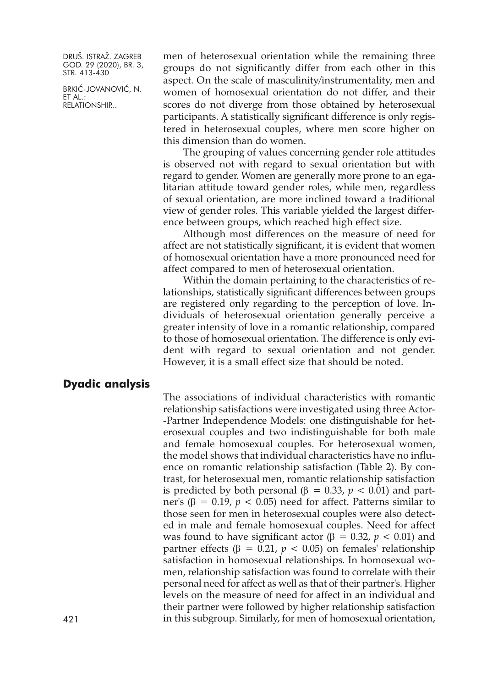BRKIĆ-JOVANOVIĆ, N. ET AL.: RELATIONSHIP...

men of heterosexual orientation while the remaining three groups do not significantly differ from each other in this aspect. On the scale of masculinity/instrumentality, men and women of homosexual orientation do not differ, and their scores do not diverge from those obtained by heterosexual participants. A statistically significant difference is only registered in heterosexual couples, where men score higher on this dimension than do women.

The grouping of values concerning gender role attitudes is observed not with regard to sexual orientation but with regard to gender. Women are generally more prone to an egalitarian attitude toward gender roles, while men, regardless of sexual orientation, are more inclined toward a traditional view of gender roles. This variable yielded the largest difference between groups, which reached high effect size.

Although most differences on the measure of need for affect are not statistically significant, it is evident that women of homosexual orientation have a more pronounced need for affect compared to men of heterosexual orientation.

Within the domain pertaining to the characteristics of relationships, statistically significant differences between groups are registered only regarding to the perception of love. Individuals of heterosexual orientation generally perceive a greater intensity of love in a romantic relationship, compared to those of homosexual orientation. The difference is only evident with regard to sexual orientation and not gender. However, it is a small effect size that should be noted.

# **Dyadic analysis**

The associations of individual characteristics with romantic relationship satisfactions were investigated using three Actor- -Partner Independence Models: one distinguishable for heterosexual couples and two indistinguishable for both male and female homosexual couples. For heterosexual women, the model shows that individual characteristics have no influence on romantic relationship satisfaction (Table 2). By contrast, for heterosexual men, romantic relationship satisfaction is predicted by both personal (β = 0.33,  $p$  < 0.01) and partner's (β =  $0.19$ ,  $p$  <  $0.05$ ) need for affect. Patterns similar to those seen for men in heterosexual couples were also detected in male and female homosexual couples. Need for affect was found to have significant actor (β = 0.32,  $p$  < 0.01) and partner effects (β = 0.21,  $p$  < 0.05) on females' relationship satisfaction in homosexual relationships. In homosexual women, relationship satisfaction was found to correlate with their personal need for affect as well as that of their partner's. Higher levels on the measure of need for affect in an individual and their partner were followed by higher relationship satisfaction 421 in this subgroup. Similarly, for men of homosexual orientation,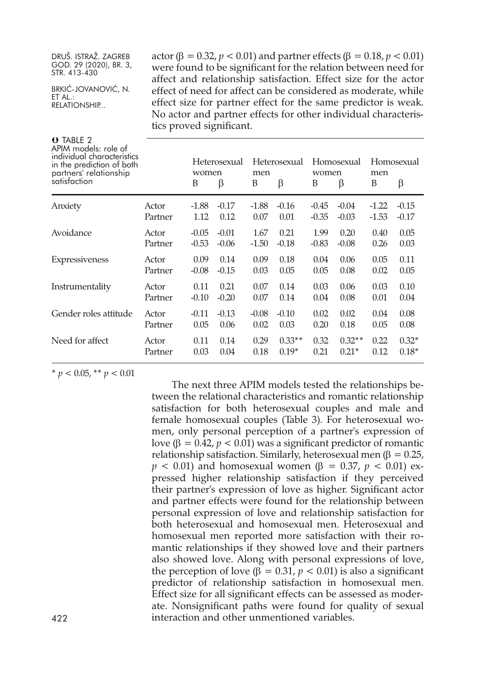BRKIĆ-JOVANOVIĆ, N. ET AL.: RELATIONSHIP...

actor (β = 0.32, *p* < 0.01) and partner effects (β = 0.18, *p* < 0.01) were found to be significant for the relation between need for affect and relationship satisfaction. Effect size for the actor effect of need for affect can be considered as moderate, while effect size for partner effect for the same predictor is weak. No actor and partner effects for other individual characteristics proved significant.

| $\theta$ TABLE 2<br>APIM models: role of<br>individual characteristics<br>in the prediction of both<br>partners' relationship<br>satisfaction |         | women<br>B | Heterosexual<br>β | men<br>B | Heterosexual<br>β | women<br>B | Homosexual<br>β | men<br>B | Homosexual<br>β |
|-----------------------------------------------------------------------------------------------------------------------------------------------|---------|------------|-------------------|----------|-------------------|------------|-----------------|----------|-----------------|
| Anxiety                                                                                                                                       | Actor   | $-1.88$    | $-0.17$           | $-1.88$  | $-0.16$           | $-0.45$    | $-0.04$         | $-1.22$  | $-0.15$         |
|                                                                                                                                               | Partner | 1.12       | 0.12              | 0.07     | 0.01              | $-0.35$    | $-0.03$         | $-1.53$  | $-0.17$         |
| Avoidance                                                                                                                                     | Actor   | $-0.05$    | $-0.01$           | 1.67     | 0.21              | 1.99       | 0.20            | 0.40     | 0.05            |
|                                                                                                                                               | Partner | $-0.53$    | $-0.06$           | $-1.50$  | $-0.18$           | $-0.83$    | $-0.08$         | 0.26     | 0.03            |
| Expressiveness                                                                                                                                | Actor   | 0.09       | 0.14              | 0.09     | 0.18              | 0.04       | 0.06            | 0.05     | 0.11            |
|                                                                                                                                               | Partner | $-0.08$    | $-0.15$           | 0.03     | 0.05              | 0.05       | 0.08            | 0.02     | 0.05            |
| Instrumentality                                                                                                                               | Actor   | 0.11       | 0.21              | 0.07     | 0.14              | 0.03       | 0.06            | 0.03     | 0.10            |
|                                                                                                                                               | Partner | $-0.10$    | $-0.20$           | 0.07     | 0.14              | 0.04       | 0.08            | 0.01     | 0.04            |
| Gender roles attitude                                                                                                                         | Actor   | $-0.11$    | $-0.13$           | $-0.08$  | $-0.10$           | 0.02       | 0.02            | 0.04     | 0.08            |
|                                                                                                                                               | Partner | 0.05       | 0.06              | 0.02     | 0.03              | 0.20       | 0.18            | 0.05     | 0.08            |
| Need for affect                                                                                                                               | Actor   | 0.11       | 0.14              | 0.29     | $0.33**$          | 0.32       | $0.32**$        | 0.22     | $0.32*$         |
|                                                                                                                                               | Partner | 0.03       | 0.04              | 0.18     | $0.19*$           | 0.21       | $0.21*$         | 0.12     | $0.18*$         |
|                                                                                                                                               |         |            |                   |          |                   |            |                 |          |                 |

 $*$  *p* < 0.05, \*\* *p* < 0.01

The next three APIM models tested the relationships between the relational characteristics and romantic relationship satisfaction for both heterosexual couples and male and female homosexual couples (Table 3). For heterosexual women, only personal perception of a partner's expression of love ( $β = 0.42$ ,  $p < 0.01$ ) was a significant predictor of romantic relationship satisfaction. Similarly, heterosexual men (β =  $0.25$ , *p*  $\lt$  0.01) and homosexual women (β = 0.37, *p*  $\lt$  0.01) expressed higher relationship satisfaction if they perceived their partner's expression of love as higher. Significant actor and partner effects were found for the relationship between personal expression of love and relationship satisfaction for both heterosexual and homosexual men. Heterosexual and homosexual men reported more satisfaction with their romantic relationships if they showed love and their partners also showed love. Along with personal expressions of love, the perception of love (β = 0.31,  $p$  < 0.01) is also a significant predictor of relationship satisfaction in homosexual men. Effect size for all significant effects can be assessed as moderate. Nonsignificant paths were found for quality of sexual 422 interaction and other unmentioned variables.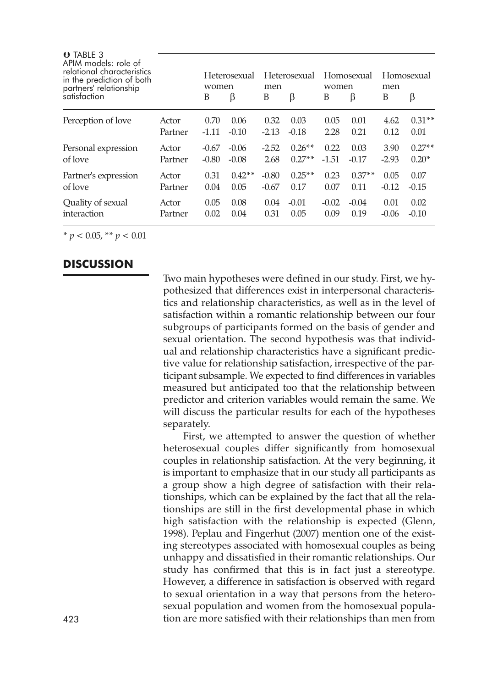| O TABLE 3<br>APIM models: role of<br>relational characteristics<br>in the prediction of both<br>partners' relationship |         | Heterosexual<br>women |          | Heterosexual<br>men |          | Homosexual<br>women |          | Homosexual<br>men |          |
|------------------------------------------------------------------------------------------------------------------------|---------|-----------------------|----------|---------------------|----------|---------------------|----------|-------------------|----------|
| satisfaction                                                                                                           |         | B                     | β        | B                   | β        | B                   | β        | B                 | β        |
| Perception of love                                                                                                     | Actor   | 0.70                  | 0.06     | 0.32                | 0.03     | 0.05                | 0.01     | 4.62              | $0.31**$ |
|                                                                                                                        | Partner | $-1.11$               | $-0.10$  | $-2.13$             | $-0.18$  | 2.28                | 0.21     | 0.12              | 0.01     |
| Personal expression                                                                                                    | Actor   | $-0.67$               | $-0.06$  | $-2.52$             | $0.26**$ | 0.22                | 0.03     | 3.90              | $0.27**$ |
| of love                                                                                                                | Partner | $-0.80$               | $-0.08$  | 2.68                | $0.27**$ | $-1.51$             | $-0.17$  | $-2.93$           | $0.20*$  |
| Partner's expression                                                                                                   | Actor   | 0.31                  | $0.42**$ | $-0.80$             | $0.25**$ | 0.23                | $0.37**$ | 0.05              | 0.07     |
| of love                                                                                                                | Partner | 0.04                  | 0.05     | $-0.67$             | 0.17     | 0.07                | 0.11     | $-0.12$           | $-0.15$  |
| Quality of sexual                                                                                                      | Actor   | 0.05                  | 0.08     | 0.04                | $-0.01$  | $-0.02$             | $-0.04$  | 0.01              | 0.02     |
| interaction                                                                                                            | Partner | 0.02                  | 0.04     | 0.31                | 0.05     | 0.09                | 0.19     | $-0.06$           | $-0.10$  |

 $* p < 0.05, ** p < 0.01$ 

# **DISCUSSION**

Two main hypotheses were defined in our study. First, we hypothesized that differences exist in interpersonal characteristics and relationship characteristics, as well as in the level of satisfaction within a romantic relationship between our four subgroups of participants formed on the basis of gender and sexual orientation. The second hypothesis was that individual and relationship characteristics have a significant predictive value for relationship satisfaction, irrespective of the participant subsample. We expected to find differences in variables measured but anticipated too that the relationship between predictor and criterion variables would remain the same. We will discuss the particular results for each of the hypotheses separately.

First, we attempted to answer the question of whether heterosexual couples differ significantly from homosexual couples in relationship satisfaction. At the very beginning, it is important to emphasize that in our study all participants as a group show a high degree of satisfaction with their relationships, which can be explained by the fact that all the relationships are still in the first developmental phase in which high satisfaction with the relationship is expected (Glenn, 1998). Peplau and Fingerhut (2007) mention one of the existing stereotypes associated with homosexual couples as being unhappy and dissatisfied in their romantic relationships. Our study has confirmed that this is in fact just a stereotype. However, a difference in satisfaction is observed with regard to sexual orientation in a way that persons from the heterosexual population and women from the homosexual popula-423 tion are more satisfied with their relationships than men from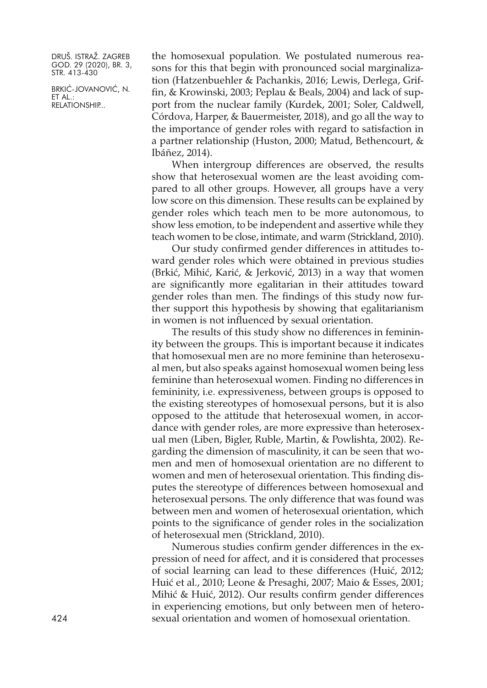BRKIĆ-JOVANOVIĆ, N. ET AL.: RELATIONSHIP...

the homosexual population. We postulated numerous reasons for this that begin with pronounced social marginalization (Hatzenbuehler & Pachankis, 2016; Lewis, Derlega, Griffin, & Krowinski, 2003; Peplau & Beals, 2004) and lack of support from the nuclear family (Kurdek, 2001; Soler, Caldwell, Córdova, Harper, & Bauermeister, 2018), and go all the way to the importance of gender roles with regard to satisfaction in a partner relationship (Huston, 2000; Matud, Bethencourt, & Ibáñez, 2014).

When intergroup differences are observed, the results show that heterosexual women are the least avoiding compared to all other groups. However, all groups have a very low score on this dimension. These results can be explained by gender roles which teach men to be more autonomous, to show less emotion, to be independent and assertive while they teach women to be close, intimate, and warm (Strickland, 2010).

Our study confirmed gender differences in attitudes toward gender roles which were obtained in previous studies (Brkić, Mihić, Karić, & Jerković, 2013) in a way that women are significantly more egalitarian in their attitudes toward gender roles than men. The findings of this study now further support this hypothesis by showing that egalitarianism in women is not influenced by sexual orientation.

The results of this study show no differences in femininity between the groups. This is important because it indicates that homosexual men are no more feminine than heterosexual men, but also speaks against homosexual women being less feminine than heterosexual women. Finding no differences in femininity, i.e. expressiveness, between groups is opposed to the existing stereotypes of homosexual persons, but it is also opposed to the attitude that heterosexual women, in accordance with gender roles, are more expressive than heterosexual men (Liben, Bigler, Ruble, Martin, & Powlishta, 2002). Regarding the dimension of masculinity, it can be seen that women and men of homosexual orientation are no different to women and men of heterosexual orientation. This finding disputes the stereotype of differences between homosexual and heterosexual persons. The only difference that was found was between men and women of heterosexual orientation, which points to the significance of gender roles in the socialization of heterosexual men (Strickland, 2010).

Numerous studies confirm gender differences in the expression of need for affect, and it is considered that processes of social learning can lead to these differences (Huić, 2012; Huić et al., 2010; Leone & Presaghi, 2007; Maio & Esses, 2001; Mihić & Huić, 2012). Our results confirm gender differences in experiencing emotions, but only between men of hetero-424 sexual orientation and women of homosexual orientation.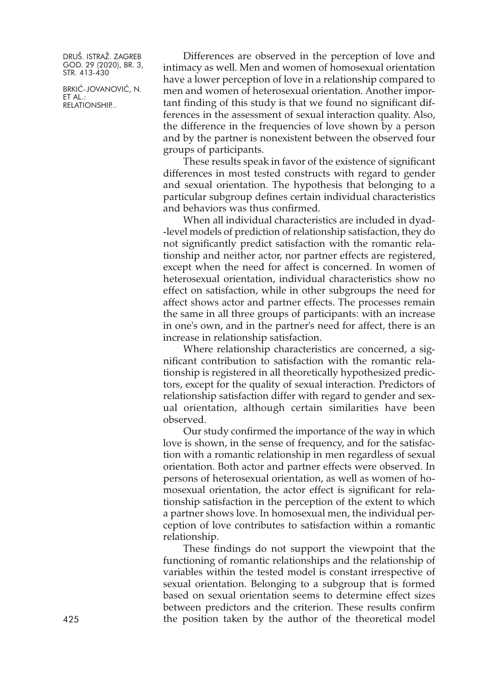BRKIĆ-JOVANOVIĆ, N. ET AL.: RELATIONSHIP...

Differences are observed in the perception of love and intimacy as well. Men and women of homosexual orientation have a lower perception of love in a relationship compared to men and women of heterosexual orientation. Another important finding of this study is that we found no significant differences in the assessment of sexual interaction quality. Also, the difference in the frequencies of love shown by a person and by the partner is nonexistent between the observed four groups of participants.

These results speak in favor of the existence of significant differences in most tested constructs with regard to gender and sexual orientation. The hypothesis that belonging to a particular subgroup defines certain individual characteristics and behaviors was thus confirmed.

When all individual characteristics are included in dyad- -level models of prediction of relationship satisfaction, they do not significantly predict satisfaction with the romantic relationship and neither actor, nor partner effects are registered, except when the need for affect is concerned. In women of heterosexual orientation, individual characteristics show no effect on satisfaction, while in other subgroups the need for affect shows actor and partner effects. The processes remain the same in all three groups of participants: with an increase in one's own, and in the partner's need for affect, there is an increase in relationship satisfaction.

Where relationship characteristics are concerned, a significant contribution to satisfaction with the romantic relationship is registered in all theoretically hypothesized predictors, except for the quality of sexual interaction. Predictors of relationship satisfaction differ with regard to gender and sexual orientation, although certain similarities have been observed.

Our study confirmed the importance of the way in which love is shown, in the sense of frequency, and for the satisfaction with a romantic relationship in men regardless of sexual orientation. Both actor and partner effects were observed. In persons of heterosexual orientation, as well as women of homosexual orientation, the actor effect is significant for relationship satisfaction in the perception of the extent to which a partner shows love. In homosexual men, the individual perception of love contributes to satisfaction within a romantic relationship.

These findings do not support the viewpoint that the functioning of romantic relationships and the relationship of variables within the tested model is constant irrespective of sexual orientation. Belonging to a subgroup that is formed based on sexual orientation seems to determine effect sizes between predictors and the criterion. These results confirm 425 the position taken by the author of the theoretical model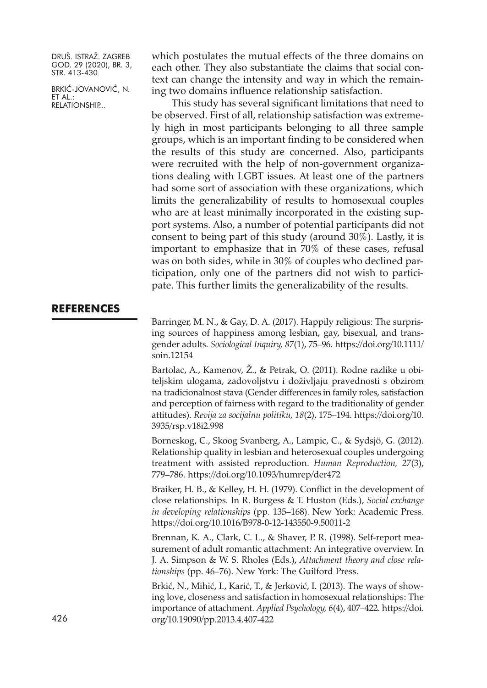BRKIĆ-JOVANOVIĆ, N. ET AL.: RELATIONSHIP...

which postulates the mutual effects of the three domains on each other. They also substantiate the claims that social context can change the intensity and way in which the remaining two domains influence relationship satisfaction.

This study has several significant limitations that need to be observed. First of all, relationship satisfaction was extremely high in most participants belonging to all three sample groups, which is an important finding to be considered when the results of this study are concerned. Also, participants were recruited with the help of non-government organizations dealing with LGBT issues. At least one of the partners had some sort of association with these organizations, which limits the generalizability of results to homosexual couples who are at least minimally incorporated in the existing support systems. Also, a number of potential participants did not consent to being part of this study (around 30%). Lastly, it is important to emphasize that in 70% of these cases, refusal was on both sides, while in 30% of couples who declined participation, only one of the partners did not wish to participate. This further limits the generalizability of the results.

# **REFERENCES**

Barringer, M. N., & Gay, D. A. (2017). Happily religious: The surprising sources of happiness among lesbian, gay, bisexual, and transgender adults. *Sociological Inquiry, 87*(1), 75–96. [https://doi.org/10.1111/](https://doi.org/10.1111/soin.12154) [soin.12154](https://doi.org/10.1111/soin.12154)

Bartolac, A., Kamenov, Ž., & Petrak, O. (2011). Rodne razlike u obiteljskim ulogama, zadovoljstvu i doživljaju pravednosti s obzirom na tradicionalnost stava (Gender differences in family roles, satisfaction and perception of fairness with regard to the traditionality of gender attitudes). *Revija za socijalnu politiku, 18*(2), 175–194. [https://doi.org/10.](https://doi.org/10.3935/rsp.v18i2.998) [3935/rsp.v18i2.998](https://doi.org/10.3935/rsp.v18i2.998)

Borneskog, C., Skoog Svanberg, A., Lampic, C., & Sydsjö, G. (2012). Relationship quality in lesbian and heterosexual couples undergoing treatment with assisted reproduction. *Human Reproduction, 27*(3), 779–786. <https://doi.org/10.1093/humrep/der472>

Braiker, H. B., & Kelley, H. H. (1979). Conflict in the development of close relationships. In R. Burgess & T. Huston (Eds.), *Social exchange in developing relationships* (pp. 135–168). New York: Academic Press. <https://doi.org/10.1016/B978-0-12-143550-9.50011-2>

Brennan, K. A., Clark, C. L., & Shaver, P. R. (1998). Self-report measurement of adult romantic attachment: An integrative overview. In J. A. Simpson & W. S. Rholes (Eds.), *Attachment theory and close relationships* (pp. 46–76). New York: The Guilford Press.

Brkić, N., Mihić, I., Karić, T., & Jerković, I. (2013). The ways of showing love, closeness and satisfaction in homosexual relationships: The importance of attachment. *Applied Psychology, 6*(4), 407–422. [https://doi.](https://doi.org/10.19090/pp.2013.4.407-422) 426 [org/10.19090/pp.2013.4.407-422](https://doi.org/10.19090/pp.2013.4.407-422)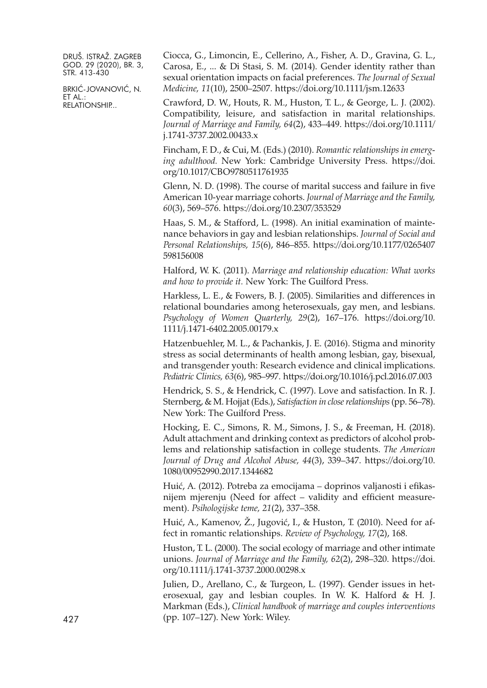BRKIĆ-JOVANOVIĆ, N. ET AL.: RELATIONSHIP...

Ciocca, G., Limoncin, E., Cellerino, A., Fisher, A. D., Gravina, G. L., Carosa, E., ... & Di Stasi, S. M. (2014). Gender identity rather than sexual orientation impacts on facial preferences. *The Journal of Sexual Medicine, 11*(10), 2500–2507. <https://doi.org/10.1111/jsm.12633>

Crawford, D. W., Houts, R. M., Huston, T. L., & George, L. J. (2002). Compatibility, leisure, and satisfaction in marital relationships. *Journal of Marriage and Family, 64*(2), 433–449. [https://doi.org/10.1111/](https://doi.org/10.1111/j.1741-3737.2002.00433.x) [j.1741-3737.2002.00433.x](https://doi.org/10.1111/j.1741-3737.2002.00433.x)

Fincham, F. D., & Cui, M. (Eds.) (2010). *Romantic relationships in emerging adulthood.* New York: Cambridge University Press. [https://doi.](https://doi.org/10.1017/CBO9780511761935) [org/10.1017/CBO9780511761935](https://doi.org/10.1017/CBO9780511761935)

Glenn, N. D. (1998). The course of marital success and failure in five American 10-year marriage cohorts. *Journal of Marriage and the Family, 60*(3), 569–576. <https://doi.org/10.2307/353529>

Haas, S. M., & Stafford, L. (1998). An initial examination of maintenance behaviors in gay and lesbian relationships. *Journal of Social and Personal Relationships, 15*(6), 846–855. [https://doi.org/10.1177/0265407](https://doi.org/10.1177/0265407598156008) [598156008](https://doi.org/10.1177/0265407598156008)

Halford, W. K. (2011). *Marriage and relationship education: What works and how to provide it.* New York: The Guilford Press.

Harkless, L. E., & Fowers, B. J. (2005). Similarities and differences in relational boundaries among heterosexuals, gay men, and lesbians. *Psychology of Women Quarterly, 29*(2), 167–176. [https://doi.org/10.](https://doi.org/10.1111/j.1471-6402.2005.00179.x) [1111/j.1471-6402.2005.00179.x](https://doi.org/10.1111/j.1471-6402.2005.00179.x)

Hatzenbuehler, M. L., & Pachankis, J. E. (2016). Stigma and minority stress as social determinants of health among lesbian, gay, bisexual, and transgender youth: Research evidence and clinical implications. *Pediatric Clinics, 63*(6), 985–997. <https://doi.org/10.1016/j.pcl.2016.07.003>

Hendrick, S. S., & Hendrick, C. (1997). Love and satisfaction. In R. J. Sternberg, & M. Hojjat (Eds.), *Satisfaction in closerelationships*(pp. 56–78). New York: The Guilford Press.

Hocking, E. C., Simons, R. M., Simons, J. S., & Freeman, H. (2018). Adult attachment and drinking context as predictors of alcohol problems and relationship satisfaction in college students. *The American Journal of Drug and Alcohol Abuse, 44*(3), 339–347. [https://doi.org/10.](https://doi.org/10.1080/00952990.2017.1344682) [1080/00952990.2017.1344682](https://doi.org/10.1080/00952990.2017.1344682)

Huić, A. (2012). Potreba za emocijama – doprinos valjanosti i efikasnijem mjerenju (Need for affect – validity and efficient measurement). *Psihologijske teme, 21*(2), 337–358.

Huić, A., Kamenov, Ž., Jugović, I., & Huston, T. (2010). Need for affect in romantic relationships. *Review of Psychology, 17*(2), 168.

Huston, T. L. (2000). The social ecology of marriage and other intimate unions. *Journal of Marriage and the Family, 62*(2), 298–320. [https://doi.](https://doi.org/10.1111/j.1741-3737.2000.00298.x) [org/10.1111/j.1741-3737.2000.00298.x](https://doi.org/10.1111/j.1741-3737.2000.00298.x)

Julien, D., Arellano, C., & Turgeon, L. (1997). Gender issues in heterosexual, gay and lesbian couples. In W. K. Halford & H. J. Markman (Eds.), *Clinical handbook of marriage and couples interventions* 427 (pp. 107–127). New York: Wiley.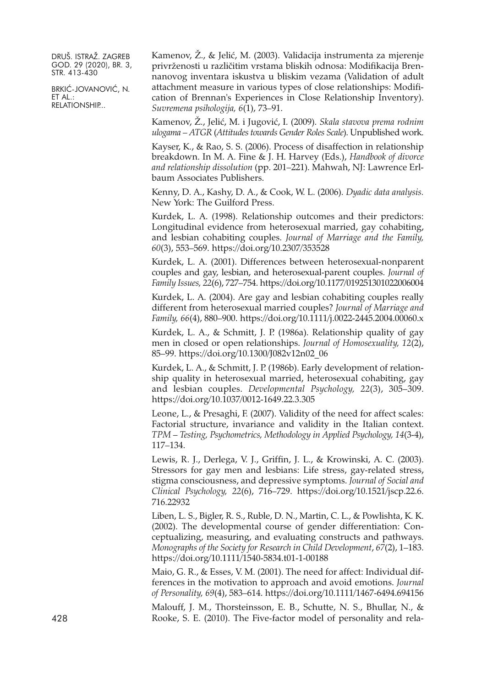BRKIĆ-JOVANOVIĆ, N. ET AL.: RELATIONSHIP...

Kamenov, Ž., & Jelić, M. (2003). Validacija instrumenta za mjerenje privrženosti u različitim vrstama bliskih odnosa: Modifikacija Brennanovog inventara iskustva u bliskim vezama (Validation of adult attachment measure in various types of close relationships: Modification of Brennan's Experiences in Close Relationship Inventory). *Suvremena psihologija, 6*(1), 73–91.

Kamenov, Ž., Jelić, M. i Jugović, I. (2009). *Skala stavova prema rodnim ulogama – ATGR* (*Attitudes towards Gender Roles Scale*). Unpublished work.

Kayser, K., & Rao, S. S. (2006). Process of disaffection in relationship breakdown. In M. A. Fine & J. H. Harvey (Eds.), *Handbook of divorce and relationship dissolution* (pp. 201–221). Mahwah, NJ: Lawrence Erlbaum Associates Publishers.

Kenny, D. A., Kashy, D. A., & Cook, W. L. (2006). *Dyadic data analysis.* New York: The Guilford Press.

Kurdek, L. A. (1998). Relationship outcomes and their predictors: Longitudinal evidence from heterosexual married, gay cohabiting, and lesbian cohabiting couples. *Journal of Marriage and the Family, 60*(3), 553–569. <https://doi.org/10.2307/353528>

Kurdek, L. A. (2001). Differences between heterosexual-nonparent couples and gay, lesbian, and heterosexual-parent couples. *Journal of Family Issues, 22*(6), 727–754. <https://doi.org/10.1177/019251301022006004>

Kurdek, L. A. (2004). Are gay and lesbian cohabiting couples really different from heterosexual married couples? *Journal of Marriage and Family, 66*(4), 880–900. <https://doi.org/10.1111/j.0022-2445.2004.00060.x>

Kurdek, L. A., & Schmitt, J. P. (1986a). Relationship quality of gay men in closed or open relationships. *Journal of Homosexuality, 12*(2), 85–99. [https://doi.org/10.1300/J082v12n02\\_06](https://doi.org/10.1300/J082v12n02_06)

Kurdek, L. A., & Schmitt, J. P. (1986b). Early development of relationship quality in heterosexual married, heterosexual cohabiting, gay and lesbian couples. *Developmental Psychology, 22*(3), 305–309. <https://doi.org/10.1037/0012-1649.22.3.305>

Leone, L., & Presaghi, F. (2007). Validity of the need for affect scales: Factorial structure, invariance and validity in the Italian context. *TPM – Testing, Psychometrics, Methodology in Applied Psychology, 14*(3-4), 117–134.

Lewis, R. J., Derlega, V. J., Griffin, J. L., & Krowinski, A. C. (2003). Stressors for gay men and lesbians: Life stress, gay-related stress, stigma consciousness, and depressive symptoms. *Journal of Social and Clinical Psychology, 22*(6), 716–729. [https://doi.org/10.1521/jscp.22.6.](https://doi.org/10.1521/jscp.22.6.716.22932) [716.22932](https://doi.org/10.1521/jscp.22.6.716.22932)

Liben, L. S., Bigler, R. S., Ruble, D. N., Martin, C. L., & Powlishta, K. K. (2002). The developmental course of gender differentiation: Conceptualizing, measuring, and evaluating constructs and pathways. *Monographs of the Society for Research in Child Development*, *67*(2), 1–183. <https://doi.org/10.1111/1540-5834.t01-1-00188>

Maio, G. R., & Esses, V. M. (2001). The need for affect: Individual differences in the motivation to approach and avoid emotions. *Journal of Personality, 69*(4), 583–614. <https://doi.org/10.1111/1467-6494.694156>

Malouff, J. M., Thorsteinsson, E. B., Schutte, N. S., Bhullar, N., & 428 Rooke, S. E. (2010). The Five-factor model of personality and rela-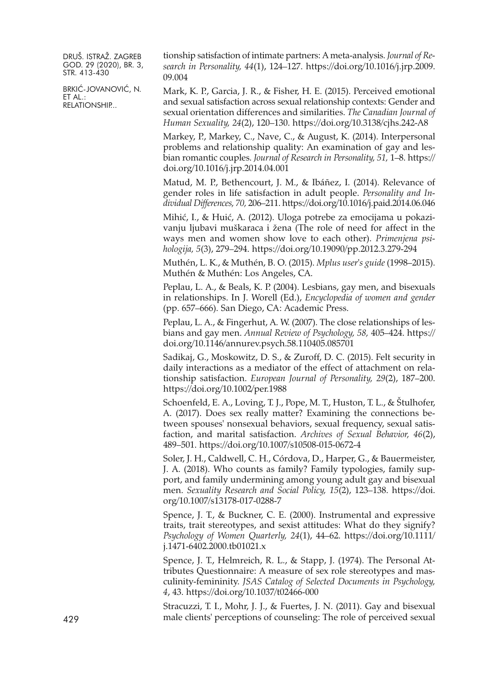BRKIĆ-JOVANOVIĆ, N. ET AL.: RELATIONSHIP...

tionship satisfaction of intimate partners: A meta-analysis. *Journal of Research in Personality, 44*(1), 124–127. [https://doi.org/10.1016/j.jrp.2009.](https://doi.org/10.1016/j.jrp.2009.09.004) [09.004](https://doi.org/10.1016/j.jrp.2009.09.004)

Mark, K. P., Garcia, J. R., & Fisher, H. E. (2015). Perceived emotional and sexual satisfaction across sexual relationship contexts: Gender and sexual orientation differences and similarities. *The Canadian Journal of Human Sexuality, 24*(2), 120–130. <https://doi.org/10.3138/cjhs.242-A8>

Markey, P., Markey, C., Nave, C., & August, K. (2014). Interpersonal problems and relationship quality: An examination of gay and lesbian romantic couples. *Journal of Research in Personality, 51,* 1–8. [https://](https://doi.org/10.1016/j.jrp.2014.04.001) [doi.org/10.1016/j.jrp.2014.04.001](https://doi.org/10.1016/j.jrp.2014.04.001)

Matud, M. P., Bethencourt, J. M., & Ibáñez, I. (2014). Relevance of gender roles in life satisfaction in adult people. *Personality and Individual Differences, 70,* 206–211. <https://doi.org/10.1016/j.paid.2014.06.046>

Mihić, I., & Huić, A. (2012). Uloga potrebe za emocijama u pokazivanju ljubavi muškaraca i žena (The role of need for affect in the ways men and women show love to each other). *Primenjena psihologija, 5*(3), 279–294. <https://doi.org/10.19090/pp.2012.3.279-294>

Muthén, L. K., & Muthén, B. O. (2015). *Mplus user's guide* (1998–2015). Muthén & Muthén: Los Angeles, CA.

Peplau, L. A., & Beals, K. P. (2004). Lesbians, gay men, and bisexuals in relationships. In J. Worell (Ed.), *Encyclopedia of women and gender* (pp. 657–666). San Diego, CA: Academic Press.

Peplau, L. A., & Fingerhut, A. W. (2007). The close relationships of lesbians and gay men. *Annual Review of Psychology, 58,* 405–424. [https://](https://doi.org/10.1146/annurev.psych.58.110405.085701) [doi.org/10.1146/annurev.psych.58.110405.085701](https://doi.org/10.1146/annurev.psych.58.110405.085701)

Sadikaj, G., Moskowitz, D. S., & Zuroff, D. C. (2015). Felt security in daily interactions as a mediator of the effect of attachment on relationship satisfaction. *European Journal of Personality, 29*(2), 187–200. <https://doi.org/10.1002/per.1988>

Schoenfeld, E. A., Loving, T. J., Pope, M. T., Huston, T. L., & Štulhofer, A. (2017). Does sex really matter? Examining the connections between spouses' nonsexual behaviors, sexual frequency, sexual satisfaction, and marital satisfaction. *Archives of Sexual Behavior, 46*(2), 489–501. <https://doi.org/10.1007/s10508-015-0672-4>

Soler, J. H., Caldwell, C. H., Córdova, D., Harper, G., & Bauermeister, J. A. (2018). Who counts as family? Family typologies, family support, and family undermining among young adult gay and bisexual men. *Sexuality Research and Social Policy, 15*(2), 123–138. [https://doi.](https://doi.org/10.1007/s13178-017-0288-7) [org/10.1007/s13178-017-0288-7](https://doi.org/10.1007/s13178-017-0288-7)

Spence, J. T., & Buckner, C. E. (2000). Instrumental and expressive traits, trait stereotypes, and sexist attitudes: What do they signify? *Psychology of Women Quarterly, 24*(1), 44–62. [https://doi.org/10.1111/](https://doi.org/10.1111/j.1471-6402.2000.tb01021.x) [j.1471-6402.2000.tb01021.x](https://doi.org/10.1111/j.1471-6402.2000.tb01021.x)

Spence, J. T., Helmreich, R. L., & Stapp, J. (1974). The Personal Attributes Questionnaire: A measure of sex role stereotypes and masculinity-femininity. *JSAS Catalog of Selected Documents in Psychology, 4*, 43. <https://doi.org/10.1037/t02466-000>

Stracuzzi, T. I., Mohr, J. J., & Fuertes, J. N. (2011). Gay and bisexual 429 male clients' perceptions of counseling: The role of perceived sexual